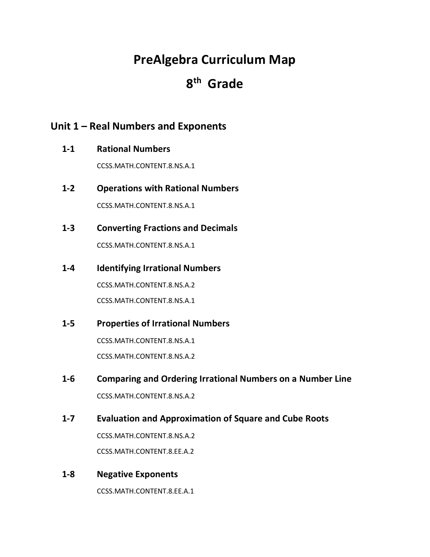# **PreAlgebra Curriculum Map**

# **8th Grade**

# **Unit 1 – Real Numbers and Exponents**

**1-1 Rational Numbers**

CCSS.MATH.CONTENT.8.NS.A.1

- **1-2 Operations with Rational Numbers** CCSS.MATH.CONTENT.8.NS.A.1
- **1-3 Converting Fractions and Decimals**

CCSS.MATH.CONTENT.8.NS.A.1

**1-4 Identifying Irrational Numbers**

CCSS.MATH.CONTENT.8.NS.A.2 CCSS.MATH.CONTENT.8.NS.A.1

**1-5 Properties of Irrational Numbers**

CCSS.MATH.CONTENT.8.NS.A.1 CCSS.MATH.CONTENT.8.NS.A.2

**1-6 Comparing and Ordering Irrational Numbers on a Number Line**

CCSS.MATH.CONTENT.8.NS.A.2

**1-7 Evaluation and Approximation of Square and Cube Roots**

CCSS.MATH.CONTENT.8.NS.A.2

CCSS.MATH.CONTENT.8.EE.A.2

**1-8 Negative Exponents**

CCSS.MATH.CONTENT.8.EE.A.1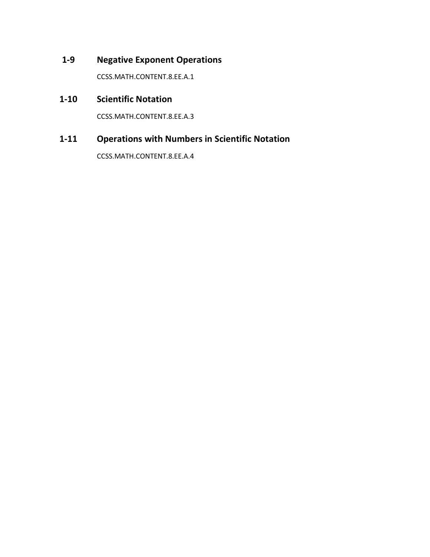# **1-9 Negative Exponent Operations**

CCSS.MATH.CONTENT.8.EE.A.1

# **1-10 Scientific Notation**

CCSS.MATH.CONTENT.8.EE.A.3

# **1-11 Operations with Numbers in Scientific Notation**

CCSS.MATH.CONTENT.8.EE.A.4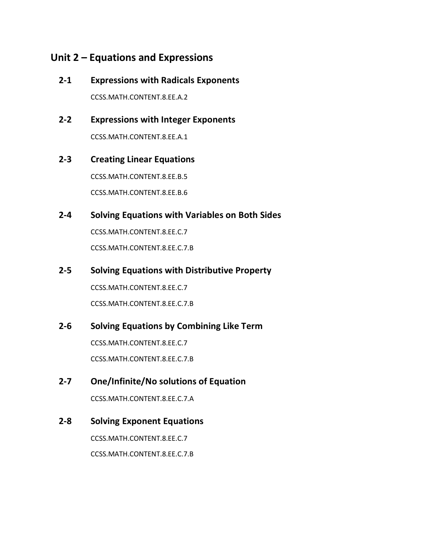# **Unit 2 – Equations and Expressions**

**2-1 Expressions with Radicals Exponents**

CCSS.MATH.CONTENT.8.EE.A.2

**2-2 Expressions with Integer Exponents** CCSS.MATH.CONTENT.8.EE.A.1

# **2-3 Creating Linear Equations**

CCSS.MATH.CONTENT.8.EE.B.5 CCSS.MATH.CONTENT.8.EE.B.6

# **2-4 Solving Equations with Variables on Both Sides**

CCSS.MATH.CONTENT.8.EE.C.7 CCSS.MATH.CONTENT.8.EE.C.7.B

#### **2-5 Solving Equations with Distributive Property**

CCSS.MATH.CONTENT.8.EE.C.7 CCSS.MATH.CONTENT.8.EE.C.7.B

### **2-6 Solving Equations by Combining Like Term**

CCSS.MATH.CONTENT.8.EE.C.7 CCSS.MATH.CONTENT.8.EE.C.7.B

### **2-7 One/Infinite/No solutions of Equation**

CCSS.MATH.CONTENT.8.EE.C.7.A

### **2-8 Solving Exponent Equations**

CCSS.MATH.CONTENT.8.EE.C.7 CCSS.MATH.CONTENT.8.EE.C.7.B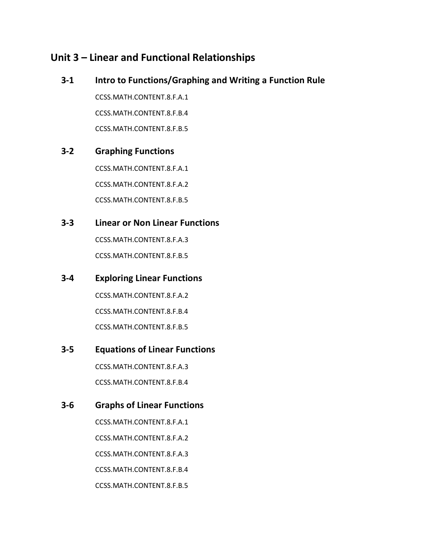# **Unit 3 – Linear and Functional Relationships**

### **3-1 Intro to Functions/Graphing and Writing a Function Rule**

CCSS.MATH.CONTENT.8.F.A.1 CCSS.MATH.CONTENT.8.F.B.4 CCSS.MATH.CONTENT.8.F.B.5

#### **3-2 Graphing Functions**

CCSS.MATH.CONTENT.8.F.A.1 CCSS.MATH.CONTENT.8.F.A.2 CCSS.MATH.CONTENT.8.F.B.5

### **3-3 Linear or Non Linear Functions**

CCSS.MATH.CONTENT.8.F.A.3 CCSS.MATH.CONTENT.8.F.B.5

#### **3-4 Exploring Linear Functions**

CCSS.MATH.CONTENT.8.F.A.2 CCSS.MATH.CONTENT.8.F.B.4 CCSS.MATH.CONTENT.8.F.B.5

### **3-5 Equations of Linear Functions**

CCSS.MATH.CONTENT.8.F.A.3 CCSS.MATH.CONTENT.8.F.B.4

### **3-6 Graphs of Linear Functions**

CCSS.MATH.CONTENT.8.F.A.1 CCSS.MATH.CONTENT.8.F.A.2 CCSS.MATH.CONTENT.8.F.A.3 CCSS.MATH.CONTENT.8.F.B.4 CCSS.MATH.CONTENT.8.F.B.5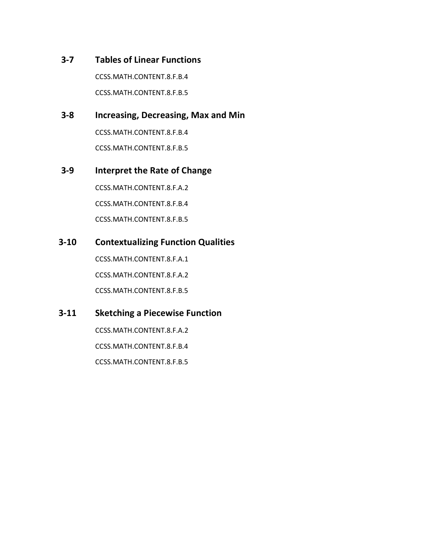### **3-7 Tables of Linear Functions**

CCSS.MATH.CONTENT.8.F.B.4 CCSS.MATH.CONTENT.8.F.B.5

### **3-8 Increasing, Decreasing, Max and Min**

CCSS.MATH.CONTENT.8.F.B.4 CCSS.MATH.CONTENT.8.F.B.5

### **3-9 Interpret the Rate of Change**

CCSS.MATH.CONTENT.8.F.A.2 CCSS.MATH.CONTENT.8.F.B.4 CCSS.MATH.CONTENT.8.F.B.5

## **3-10 Contextualizing Function Qualities**

CCSS.MATH.CONTENT.8.F.A.1 CCSS.MATH.CONTENT.8.F.A.2 CCSS.MATH.CONTENT.8.F.B.5

## **3-11 Sketching a Piecewise Function**

CCSS.MATH.CONTENT.8.F.A.2 CCSS.MATH.CONTENT.8.F.B.4 CCSS.MATH.CONTENT.8.F.B.5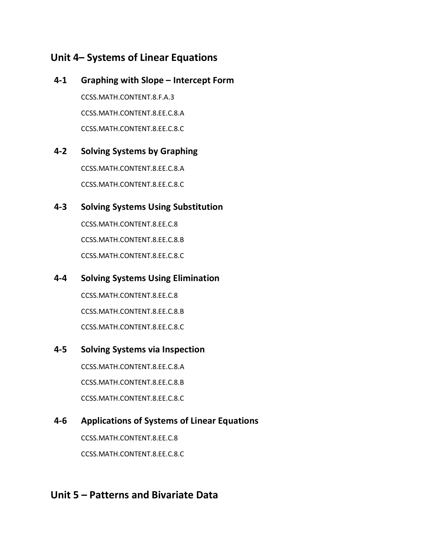# **Unit 4– Systems of Linear Equations**

# **4-1 Graphing with Slope – Intercept Form** CCSS.MATH.CONTENT.8.F.A.3 CCSS.MATH.CONTENT.8.EE.C.8.A CCSS.MATH.CONTENT.8.EE.C.8.C

# **4-2 Solving Systems by Graphing**

CCSS.MATH.CONTENT.8.EE.C.8.A CCSS.MATH.CONTENT.8.EE.C.8.C

# **4-3 Solving Systems Using Substitution**

CCSS.MATH.CONTENT.8.EE.C.8 CCSS.MATH.CONTENT.8.EE.C.8.B CCSS.MATH.CONTENT.8.EE.C.8.C

## **4-4 Solving Systems Using Elimination**

CCSS.MATH.CONTENT.8.EE.C.8 CCSS.MATH.CONTENT.8.EE.C.8.B CCSS.MATH.CONTENT.8.EE.C.8.C

## **4-5 Solving Systems via Inspection**

CCSS.MATH.CONTENT.8.EE.C.8.A CCSS.MATH.CONTENT.8.EE.C.8.B CCSS.MATH.CONTENT.8.EE.C.8.C

# **4-6 Applications of Systems of Linear Equations**

CCSS.MATH.CONTENT.8.EE.C.8 CCSS.MATH.CONTENT.8.EE.C.8.C

# **Unit 5 – Patterns and Bivariate Data**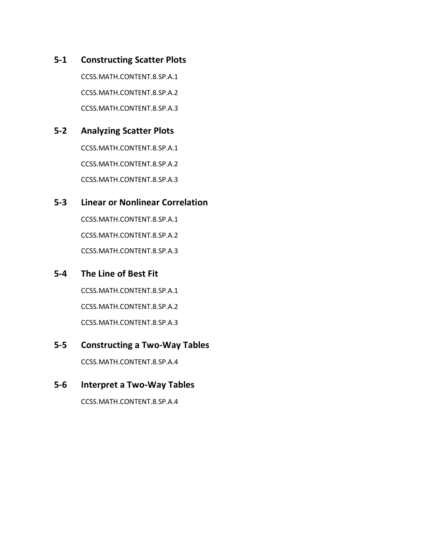**5-1 Constructing Scatter Plots**

CCSS.MATH.CONTENT.8.SP.A.1 CCSS.MATH.CONTENT.8.SP.A.2 CCSS.MATH.CONTENT.8.SP.A.3

## **5-2 Analyzing Scatter Plots**

CCSS.MATH.CONTENT.8.SP.A.1 CCSS.MATH.CONTENT.8.SP.A.2 CCSS.MATH.CONTENT.8.SP.A.3

# **5-3 Linear or Nonlinear Correlation**

CCSS.MATH.CONTENT.8.SP.A.1 CCSS.MATH.CONTENT.8.SP.A.2 CCSS.MATH.CONTENT.8.SP.A.3

### **5-4 The Line of Best Fit**

CCSS.MATH.CONTENT.8.SP.A.1 CCSS.MATH.CONTENT.8.SP.A.2 CCSS.MATH.CONTENT.8.SP.A.3

## **5-5 Constructing a Two-Way Tables**

CCSS.MATH.CONTENT.8.SP.A.4

### **5-6 Interpret a Two-Way Tables**

CCSS.MATH.CONTENT.8.SP.A.4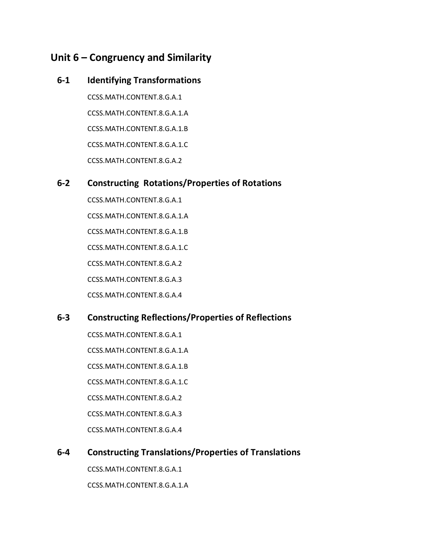# **Unit 6 – Congruency and Similarity**

### **6-1 Identifying Transformations**

CCSS.MATH.CONTENT.8.G.A.1 CCSS.MATH.CONTENT.8.G.A.1.A CCSS.MATH.CONTENT.8.G.A.1.B CCSS.MATH.CONTENT.8.G.A.1.C CCSS.MATH.CONTENT.8.G.A.2

## **6-2 Constructing Rotations/Properties of Rotations**

CCSS.MATH.CONTENT.8.G.A.1 CCSS.MATH.CONTENT.8.G.A.1.A CCSS.MATH.CONTENT.8.G.A.1.B CCSS.MATH.CONTENT.8.G.A.1.C CCSS.MATH.CONTENT.8.G.A.2 CCSS.MATH.CONTENT.8.G.A.3 CCSS.MATH.CONTENT.8.G.A.4

# **6-3 Constructing Reflections/Properties of Reflections**

- CCSS.MATH.CONTENT.8.G.A.1
- CCSS.MATH.CONTENT.8.G.A.1.A
- CCSS.MATH.CONTENT.8.G.A.1.B
- CCSS.MATH.CONTENT.8.G.A.1.C
- CCSS.MATH.CONTENT.8.G.A.2
- CCSS.MATH.CONTENT.8.G.A.3
- CCSS.MATH.CONTENT.8.G.A.4

# **6-4 Constructing Translations/Properties of Translations**

CCSS.MATH.CONTENT.8.G.A.1 CCSS.MATH.CONTENT.8.G.A.1.A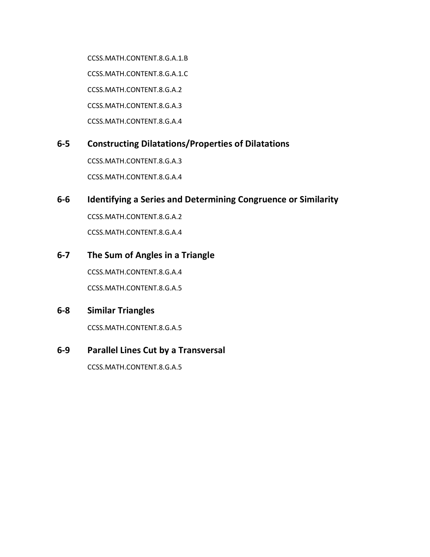CCSS.MATH.CONTENT.8.G.A.1.B CCSS.MATH.CONTENT.8.G.A.1.C CCSS.MATH.CONTENT.8.G.A.2 CCSS.MATH.CONTENT.8.G.A.3 CCSS.MATH.CONTENT.8.G.A.4

### **6-5 Constructing Dilatations/Properties of Dilatations**

CCSS.MATH.CONTENT.8.G.A.3 CCSS.MATH.CONTENT.8.G.A.4

### **6-6 Identifying a Series and Determining Congruence or Similarity**

CCSS.MATH.CONTENT.8.G.A.2 CCSS.MATH.CONTENT.8.G.A.4

### **6-7 The Sum of Angles in a Triangle**

CCSS.MATH.CONTENT.8.G.A.4 CCSS.MATH.CONTENT.8.G.A.5

### **6-8 Similar Triangles**

CCSS.MATH.CONTENT.8.G.A.5

### **6-9 Parallel Lines Cut by a Transversal**

CCSS.MATH.CONTENT.8.G.A.5